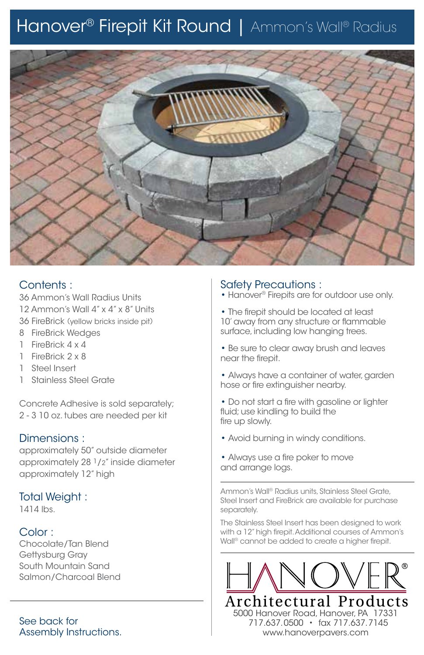# Hanover® Firepit Kit Round | Ammon's Wall® Radius



## Contents :

36 Ammon's Wall Radius Units 12 Ammon's Wall 4" x 4" x 8" Units 36 FireBrick (yellow bricks inside pit)

- 8 FireBrick Wedges
- 1 FireBrick 4 x 4
- 1 FireBrick 2 x 8
- 1 Steel Insert
- 1 Stainless Steel Grate

Concrete Adhesive is sold separately; 2 - 3 10 oz. tubes are needed per kit

## Dimensions :

approximately 50" outside diameter approximately 28 $1/2$ " inside diameter approximately 12" high

#### Total Weight :

1414 lbs.

## Color :

Chocolate/Tan Blend Gettysburg Gray South Mountain Sand Salmon/Charcoal Blend

See back for Assembly Instructions.

## Safety Precautions :

- Hanover® Firepits are for outdoor use only.
- The firepit should be located at least 10' away from any structure or flammable surface, including low hanging trees.
- Be sure to clear away brush and leaves near the firepit.
- Always have a container of water, garden hose or fire extinguisher nearby.
- Do not start a fire with gasoline or lighter fluid; use kindling to build the fire up slowly.
- Avoid burning in windy conditions.
- Always use a fire poker to move and arrange logs.

Ammon's Wall® Radius units, Stainless Steel Grate, Steel Insert and FireBrick are available for purchase separately.

The Stainless Steel Insert has been designed to work with a 12" high firepit. Additional courses of Ammon's Wall® cannot be added to create a higher firepit.



 717.637.0500 • fax 717.637.7145 www.hanoverpavers.com